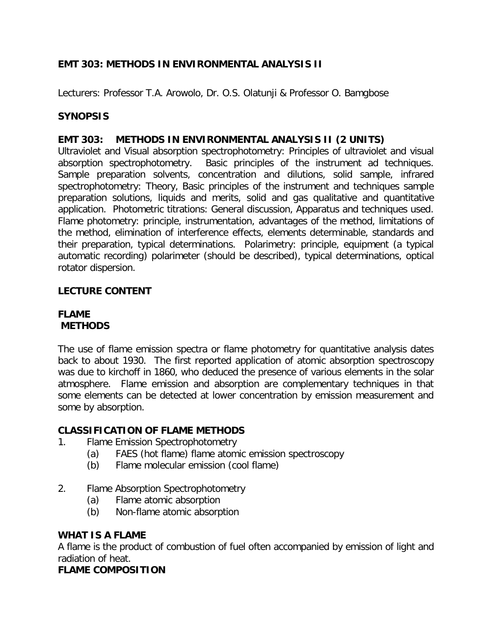# **EMT 303: METHODS IN ENVIRONMENTAL ANALYSIS II**

*Lecturers: Professor T.A. Arowolo, Dr. O.S. Olatunji & Professor O. Bamgbose*

# **SYNOPSIS**

#### **EMT 303: METHODS IN ENVIRONMENTAL ANALYSIS II (2 UNITS)**

Ultraviolet and Visual absorption spectrophotometry: Principles of ultraviolet and visual absorption spectrophotometry. Basic principles of the instrument ad techniques. Sample preparation solvents, concentration and dilutions, solid sample, infrared spectrophotometry: Theory, Basic principles of the instrument and techniques sample preparation solutions, liquids and merits, solid and gas qualitative and quantitative application. Photometric titrations: General discussion, Apparatus and techniques used. Flame photometry: principle, instrumentation, advantages of the method, limitations of the method, elimination of interference effects, elements determinable, standards and their preparation, typical determinations. Polarimetry: principle, equipment (a typical automatic recording) polarimeter (should be described), typical determinations, optical rotator dispersion.

#### **LECTURE CONTENT**

#### **FLAME METHODS**

The use of flame emission spectra or flame photometry for quantitative analysis dates back to about 1930. The first reported application of atomic absorption spectroscopy was due to kirchoff in 1860, who deduced the presence of various elements in the solar atmosphere. Flame emission and absorption are complementary techniques in that some elements can be detected at lower concentration by emission measurement and some by absorption.

#### **CLASSIFICATION OF FLAME METHODS**

- 1. Flame Emission Spectrophotometry
	- (a) FAES (hot flame) flame atomic emission spectroscopy
	- (b) Flame molecular emission (cool flame)
- 2. Flame Absorption Spectrophotometry
	- (a) Flame atomic absorption
	- (b) Non-flame atomic absorption

#### **WHAT IS A FLAME**

A flame is the product of combustion of fuel often accompanied by emission of light and radiation of heat.

#### **FLAME COMPOSITION**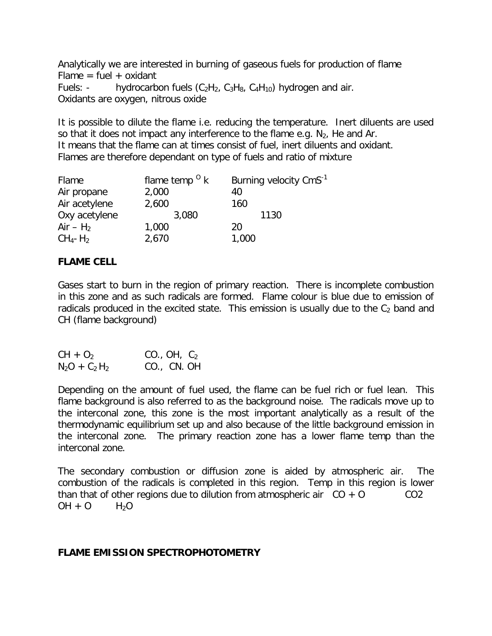Analytically we are interested in burning of gaseous fuels for production of flame  $Flame = fuel + oxidant$ Fuels: - hydrocarbon fuels  $(C_2H_2, C_3H_8, C_4H_{10})$  hydrogen and air. Oxidants are oxygen, nitrous oxide

It is possible to dilute the flame i.e. reducing the temperature. Inert diluents are used so that it does not impact any interference to the flame e.g.  $N_2$ , He and Ar. It means that the flame can at times consist of fuel, inert diluents and oxidant. Flames are therefore dependant on type of fuels and ratio of mixture

| Flame                   | flame temp $\mathrm{O}$ k | Burning velocity CmS <sup>-1</sup> |
|-------------------------|---------------------------|------------------------------------|
| Air propane             | 2,000                     | 40                                 |
| Air acetylene           | 2,600                     | 160                                |
| Oxy acetylene           | 3,080                     | 1130                               |
| $Air - H2$              | 1,000                     | 20                                 |
| $CH_4$ - H <sub>2</sub> | 2,670                     | 1,000                              |

# **FLAME CELL**

Gases start to burn in the region of primary reaction. There is incomplete combustion in this zone and as such radicals are formed. Flame colour is blue due to emission of radicals produced in the excited state. This emission is usually due to the  $C_2$  band and CH (flame background)

| $CH + O2$       | CO., OH, $C_2$ |
|-----------------|----------------|
| $N_2O + C_2H_2$ | CO., CN. OH    |

Depending on the amount of fuel used, the flame can be fuel rich or fuel lean. This flame background is also referred to as the background noise. The radicals move up to the interconal zone, this zone is the most important analytically as a result of the thermodynamic equilibrium set up and also because of the little background emission in the interconal zone. The primary reaction zone has a lower flame temp than the interconal zone.

The secondary combustion or diffusion zone is aided by atmospheric air. The combustion of the radicals is completed in this region. Temp in this region is lower than that of other regions due to dilution from atmospheric air  $CO + O$   $CO^2$  $OH + O$   $H_2O$ 

#### **FLAME EMISSION SPECTROPHOTOMETRY**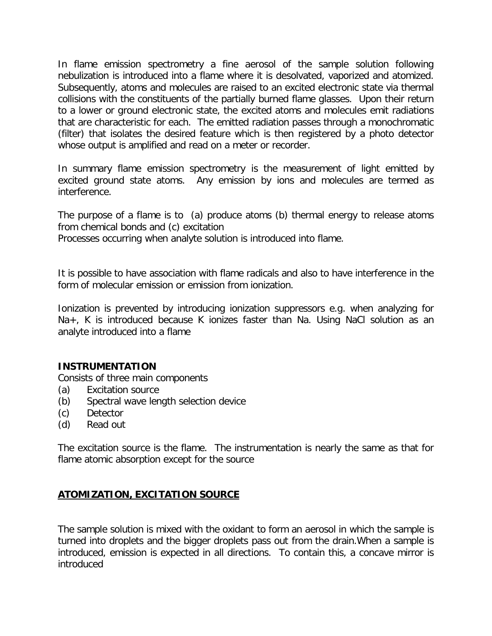In flame emission spectrometry a fine aerosol of the sample solution following nebulization is introduced into a flame where it is desolvated, vaporized and atomized. Subsequently, atoms and molecules are raised to an excited electronic state via thermal collisions with the constituents of the partially burned flame glasses. Upon their return to a lower or ground electronic state, the excited atoms and molecules emit radiations that are characteristic for each. The emitted radiation passes through a monochromatic (filter) that isolates the desired feature which is then registered by a photo detector whose output is amplified and read on a meter or recorder.

In summary flame emission spectrometry is the measurement of light emitted by excited ground state atoms. Any emission by ions and molecules are termed as interference.

The purpose of a flame is to (a) produce atoms (b) thermal energy to release atoms from chemical bonds and (c) excitation

Processes occurring when analyte solution is introduced into flame.

It is possible to have association with flame radicals and also to have interference in the form of molecular emission or emission from ionization.

Ionization is prevented by introducing ionization suppressors e.g. when analyzing for Na+, K is introduced because K ionizes faster than Na. Using NaCl solution as an analyte introduced into a flame

# **INSTRUMENTATION**

Consists of three main components

- (a) Excitation source
- (b) Spectral wave length selection device
- (c) Detector
- (d) Read out

The excitation source is the flame. The instrumentation is nearly the same as that for flame atomic absorption except for the source

# **ATOMIZATION, EXCITATION SOURCE**

The sample solution is mixed with the oxidant to form an aerosol in which the sample is turned into droplets and the bigger droplets pass out from the drain.When a sample is introduced, emission is expected in all directions. To contain this, a concave mirror is introduced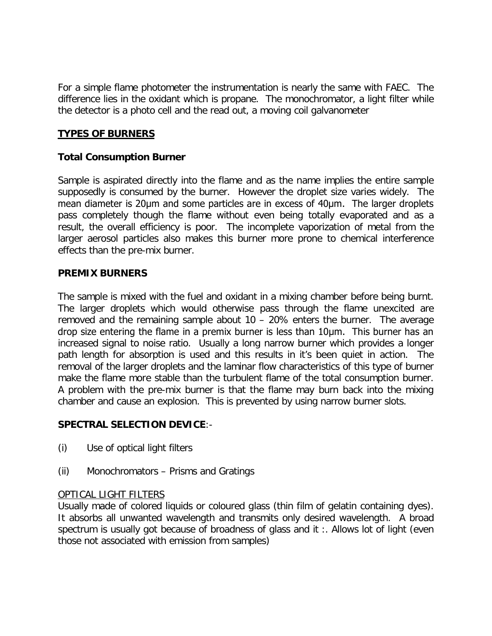For a simple flame photometer the instrumentation is nearly the same with FAEC. The difference lies in the oxidant which is propane. The monochromator, a light filter while the detector is a photo cell and the read out, a moving coil galvanometer

# **TYPES OF BURNERS**

### **Total Consumption Burner**

Sample is aspirated directly into the flame and as the name implies the entire sample supposedly is consumed by the burner. However the droplet size varies widely. The mean diameter is 20µm and some particles are in excess of 40µm. The larger droplets pass completely though the flame without even being totally evaporated and as a result, the overall efficiency is poor. The incomplete vaporization of metal from the larger aerosol particles also makes this burner more prone to chemical interference effects than the pre-mix burner.

#### **PREMIX BURNERS**

The sample is mixed with the fuel and oxidant in a mixing chamber before being burnt. The larger droplets which would otherwise pass through the flame unexcited are removed and the remaining sample about 10 – 20% enters the burner. The average drop size entering the flame in a premix burner is less than 10µm. This burner has an increased signal to noise ratio. Usually a long narrow burner which provides a longer path length for absorption is used and this results in it's been quiet in action. The removal of the larger droplets and the laminar flow characteristics of this type of burner make the flame more stable than the turbulent flame of the total consumption burner. A problem with the pre-mix burner is that the flame may burn back into the mixing chamber and cause an explosion. This is prevented by using narrow burner slots.

#### **SPECTRAL SELECTION DEVICE**:-

- (i) Use of optical light filters
- (ii) Monochromators Prisms and Gratings

#### OPTICAL LIGHT FILTERS

Usually made of colored liquids or coloured glass (thin film of gelatin containing dyes). It absorbs all unwanted wavelength and transmits only desired wavelength. A broad spectrum is usually got because of broadness of glass and it :. Allows lot of light (even those not associated with emission from samples)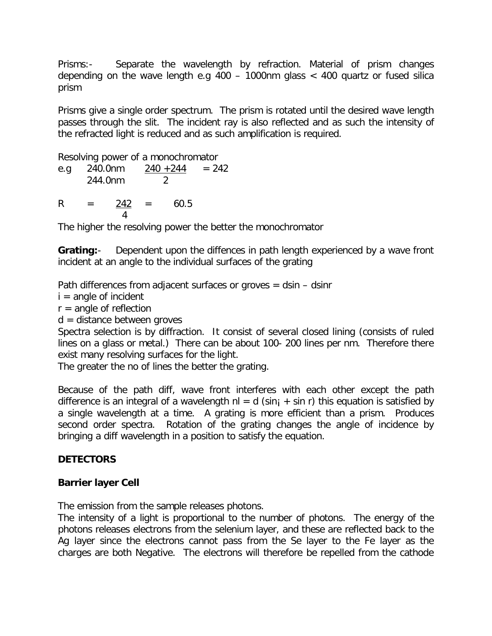Prisms:- Separate the wavelength by refraction. Material of prism changes depending on the wave length e.g 400 – 1000nm glass < 400 quartz or fused silica prism

Prisms give a single order spectrum. The prism is rotated until the desired wave length passes through the slit. The incident ray is also reflected and as such the intensity of the refracted light is reduced and as such amplification is required.

Resolving power of a monochromator

e.g 240.0nm  $240 + 244 = 242$ 244.0nm 2

 $R = 242 = 60.5$ 4

The higher the resolving power the better the monochromator

**Grating:**- Dependent upon the diffences in path length experienced by a wave front incident at an angle to the individual surfaces of the grating

Path differences from adjacent surfaces or groves  $=$  dsin  $-$  dsinr

 $i =$  angle of incident

 $r =$  angle of reflection

 $d =$  distance between groves

Spectra selection is by diffraction. It consist of several closed lining (consists of ruled lines on a glass or metal.) There can be about 100- 200 lines per nm. Therefore there exist many resolving surfaces for the light.

The greater the no of lines the better the grating.

Because of the path diff, wave front interferes with each other except the path difference is an integral of a wavelength  $nl = d$  (sin<sub>i</sub> + sin r) this equation is satisfied by a single wavelength at a time. A grating is more efficient than a prism. Produces second order spectra. Rotation of the grating changes the angle of incidence by bringing a diff wavelength in a position to satisfy the equation.

# **DETECTORS**

# **Barrier layer Cell**

The emission from the sample releases photons.

The intensity of a light is proportional to the number of photons. The energy of the photons releases electrons from the selenium layer, and these are reflected back to the Ag layer since the electrons cannot pass from the Se layer to the Fe layer as the charges are both Negative. The electrons will therefore be repelled from the cathode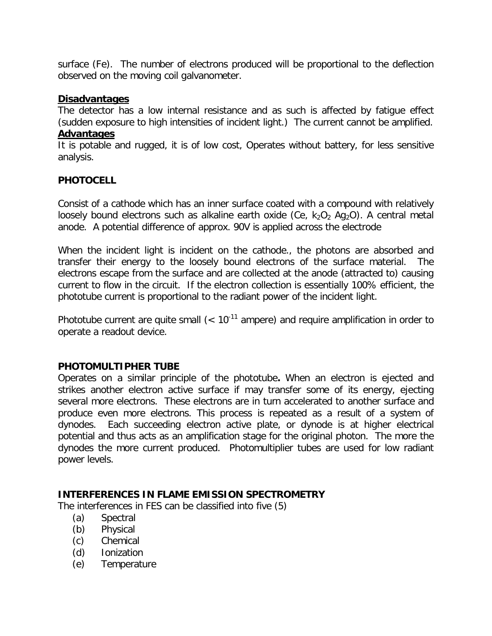surface (Fe). The number of electrons produced will be proportional to the deflection observed on the moving coil galvanometer.

### **Disadvantages**

The detector has a low internal resistance and as such is affected by fatigue effect (sudden exposure to high intensities of incident light.) The current cannot be amplified. **Advantages**

It is potable and rugged, it is of low cost, Operates without battery, for less sensitive analysis.

# **PHOTOCELL**

Consist of a cathode which has an inner surface coated with a compound with relatively loosely bound electrons such as alkaline earth oxide (Ce,  $k_2O_2$  Ag<sub>2</sub>O). A central metal anode. A potential difference of approx. 90V is applied across the electrode

When the incident light is incident on the cathode., the photons are absorbed and transfer their energy to the loosely bound electrons of the surface material. The electrons escape from the surface and are collected at the anode (attracted to) causing current to flow in the circuit. If the electron collection is essentially 100% efficient, the phototube current is proportional to the radiant power of the incident light.

Phototube current are quite small  $(< 10^{-11}$  ampere) and require amplification in order to operate a readout device.

# **PHOTOMULTIPHER TUBE**

Operates on a similar principle of the phototube**.** When an electron is ejected and strikes another electron active surface if may transfer some of its energy, ejecting several more electrons. These electrons are in turn accelerated to another surface and produce even more electrons. This process is repeated as a result of a system of dynodes. Each succeeding electron active plate, or dynode is at higher electrical potential and thus acts as an amplification stage for the original photon. The more the dynodes the more current produced. Photomultiplier tubes are used for low radiant power levels.

#### **INTERFERENCES IN FLAME EMISSION SPECTROMETRY**

The interferences in FES can be classified into five (5)

- (a) Spectral
- (b) Physical
- (c) Chemical
- (d) Ionization
- (e) Temperature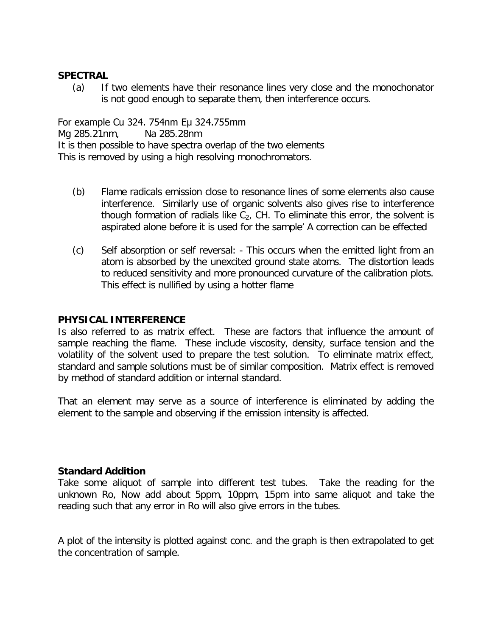#### **SPECTRAL**

(a) If two elements have their resonance lines very close and the monochonator is not good enough to separate them, then interference occurs.

For example Cu 324. 754nm Eµ 324.755mm Mg 285.21nm, Na 285.28nm It is then possible to have spectra overlap of the two elements This is removed by using a high resolving monochromators.

- (b) Flame radicals emission close to resonance lines of some elements also cause interference. Similarly use of organic solvents also gives rise to interference though formation of radials like  $C_2$ , CH. To eliminate this error, the solvent is aspirated alone before it is used for the sample' A correction can be effected
- (c) Self absorption or self reversal: This occurs when the emitted light from an atom is absorbed by the unexcited ground state atoms. The distortion leads to reduced sensitivity and more pronounced curvature of the calibration plots. This effect is nullified by using a hotter flame

#### **PHYSICAL INTERFERENCE**

Is also referred to as matrix effect. These are factors that influence the amount of sample reaching the flame. These include viscosity, density, surface tension and the volatility of the solvent used to prepare the test solution. To eliminate matrix effect, standard and sample solutions must be of similar composition. Matrix effect is removed by method of standard addition or internal standard.

That an element may serve as a source of interference is eliminated by adding the element to the sample and observing if the emission intensity is affected.

#### **Standard Addition**

Take some aliquot of sample into different test tubes. Take the reading for the unknown Ro, Now add about 5ppm, 10ppm, 15pm into same aliquot and take the reading such that any error in Ro will also give errors in the tubes.

A plot of the intensity is plotted against conc. and the graph is then extrapolated to get the concentration of sample.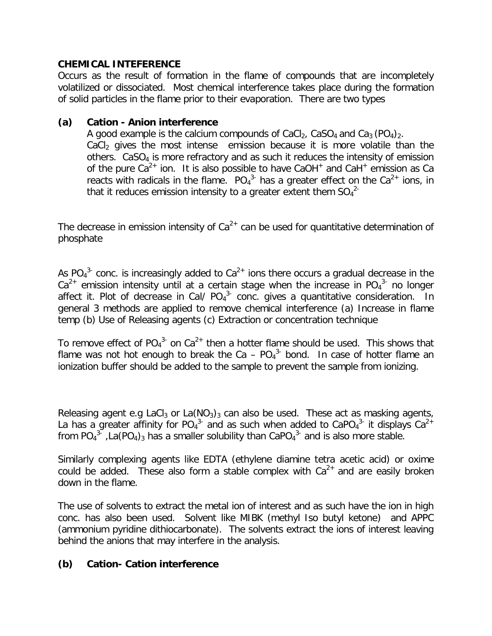### **CHEMICAL INTEFERENCE**

Occurs as the result of formation in the flame of compounds that are incompletely volatilized or dissociated. Most chemical interference takes place during the formation of solid particles in the flame prior to their evaporation. There are two types

#### **(a) Cation - Anion interference**

A good example is the calcium compounds of CaCl<sub>2</sub>, CaSO<sub>4</sub> and Ca<sub>3</sub> (PO<sub>4</sub>)<sub>2</sub>.  $CaCl<sub>2</sub>$  gives the most intense emission because it is more volatile than the others.  $CaSO<sub>4</sub>$  is more refractory and as such it reduces the intensity of emission of the pure  $Ca^{2+}$  ion. It is also possible to have CaOH<sup>+</sup> and CaH<sup>+</sup> emission as Ca reacts with radicals in the flame.  $PO_4^3$  has a greater effect on the  $Ca^{2+}$  ions, in that it reduces emission intensity to a greater extent them  $SO_4^{2-}$ 

The decrease in emission intensity of  $Ca^{2+}$  can be used for quantitative determination of phosphate

As PO<sub>4</sub><sup>3-</sup> conc. is increasingly added to Ca<sup>2+</sup> ions there occurs a gradual decrease in the  $Ca^{2+}$  emission intensity until at a certain stage when the increase in PO<sub>4</sub><sup>3-</sup> no longer affect it. Plot of decrease in Cal/  $PO<sub>4</sub><sup>3</sup>$  conc. gives a quantitative consideration. In general 3 methods are applied to remove chemical interference (a) Increase in flame temp (b) Use of Releasing agents (c) Extraction or concentration technique

To remove effect of  $PO_4^{3}$  on  $Ca^{2+}$  then a hotter flame should be used. This shows that flame was not hot enough to break the Ca  $-$  PO<sub>4</sub><sup>3</sup> bond. In case of hotter flame an ionization buffer should be added to the sample to prevent the sample from ionizing.

Releasing agent e.g LaCl<sub>3</sub> or La(NO<sub>3</sub>)<sub>3</sub> can also be used. These act as masking agents, La has a greater affinity for PO<sub>4</sub><sup>3</sup> and as such when added to CaPO<sub>4</sub><sup>3</sup> it displays Ca<sup>2+</sup> from PO<sub>4</sub><sup>3</sup> ,La(PO<sub>4</sub>)<sub>3</sub> has a smaller solubility than CaPO<sub>4</sub><sup>3</sup> and is also more stable.

Similarly complexing agents like EDTA (ethylene diamine tetra acetic acid) or oxime could be added. These also form a stable complex with  $Ca<sup>2+</sup>$  and are easily broken down in the flame.

The use of solvents to extract the metal ion of interest and as such have the ion in high conc. has also been used. Solvent like MIBK (methyl Iso butyl ketone) and APPC (ammonium pyridine dithiocarbonate). The solvents extract the ions of interest leaving behind the anions that may interfere in the analysis.

# **(b) Cation- Cation interference**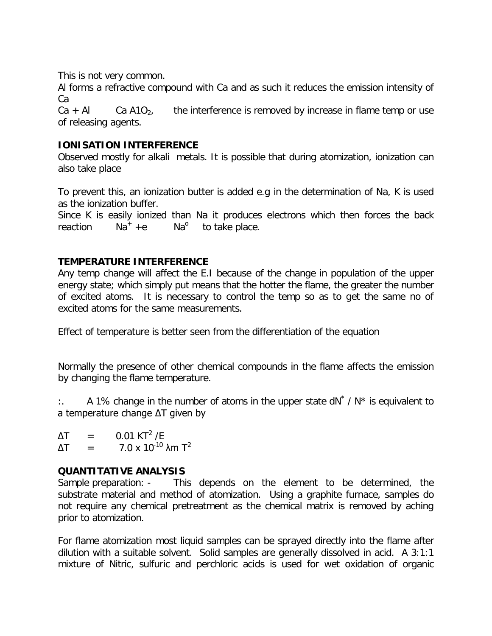This is not very common.

Al forms a refractive compound with Ca and as such it reduces the emission intensity of Ca

 $Ca + Al$  Ca A1O<sub>2</sub>, the interference is removed by increase in flame temp or use of releasing agents.

# **IONISATION INTERFERENCE**

Observed mostly for alkali metals. It is possible that during atomization, ionization can also take place

To prevent this, an ionization butter is added e.g in the determination of Na, K is used as the ionization buffer.

Since K is easily ionized than Na it produces electrons which then forces the back reaction  $Na^+ +e$  Na<sup>o</sup> to take place.

# **TEMPERATURE INTERFERENCE**

Any temp change will affect the E.I because of the change in population of the upper energy state; which simply put means that the hotter the flame, the greater the number of excited atoms. It is necessary to control the temp so as to get the same no of excited atoms for the same measurements.

Effect of temperature is better seen from the differentiation of the equation

Normally the presence of other chemical compounds in the flame affects the emission by changing the flame temperature.

:. A 1% change in the number of atoms in the upper state  $dN^* / N^*$  is equivalent to a temperature change ΔT given by

 $\Delta T = 0.01 \text{ KT}^2 \text{/E}$  $\Delta T = 7.0 \times 10^{-10} \text{ A m T}^2$ 

# **QUANTITATIVE ANALYSIS**

Sample preparation: - This depends on the element to be determined, the substrate material and method of atomization. Using a graphite furnace, samples do not require any chemical pretreatment as the chemical matrix is removed by aching prior to atomization.

For flame atomization most liquid samples can be sprayed directly into the flame after dilution with a suitable solvent. Solid samples are generally dissolved in acid. A 3:1:1 mixture of Nitric, sulfuric and perchloric acids is used for wet oxidation of organic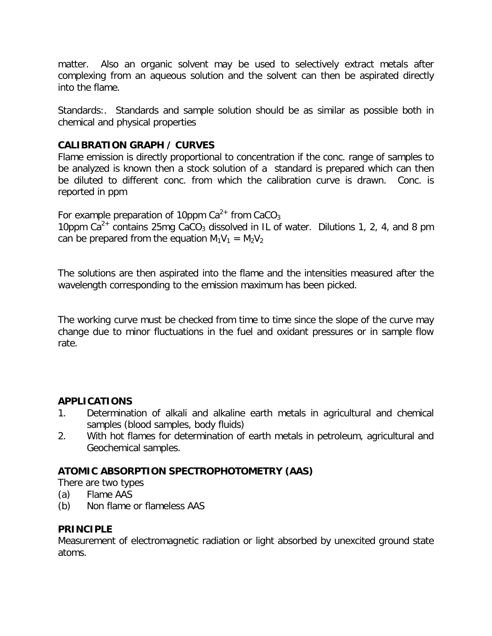matter. Also an organic solvent may be used to selectively extract metals after complexing from an aqueous solution and the solvent can then be aspirated directly into the flame.

Standards:. Standards and sample solution should be as similar as possible both in chemical and physical properties

# **CALIBRATION GRAPH / CURVES**

Flame emission is directly proportional to concentration if the conc. range of samples to be analyzed is known then a stock solution of a standard is prepared which can then be diluted to different conc. from which the calibration curve is drawn. Conc. is reported in ppm

For example preparation of 10ppm  $Ca^{2+}$  from CaCO<sub>3</sub> 10ppm  $Ca^{2+}$  contains 25mg CaCO<sub>3</sub> dissolved in IL of water. Dilutions 1, 2, 4, and 8 pm can be prepared from the equation  $M_1V_1 = M_2V_2$ 

The solutions are then aspirated into the flame and the intensities measured after the wavelength corresponding to the emission maximum has been picked.

The working curve must be checked from time to time since the slope of the curve may change due to minor fluctuations in the fuel and oxidant pressures or in sample flow rate.

# **APPLICATIONS**

- 1. Determination of alkali and alkaline earth metals in agricultural and chemical samples (blood samples, body fluids)
- 2. With hot flames for determination of earth metals in petroleum, agricultural and Geochemical samples.

# **ATOMIC ABSORPTION SPECTROPHOTOMETRY (AAS)**

There are two types

- (a) Flame AAS
- (b) Non flame or flameless AAS

# **PRINCIPLE**

Measurement of electromagnetic radiation or light absorbed by unexcited ground state atoms.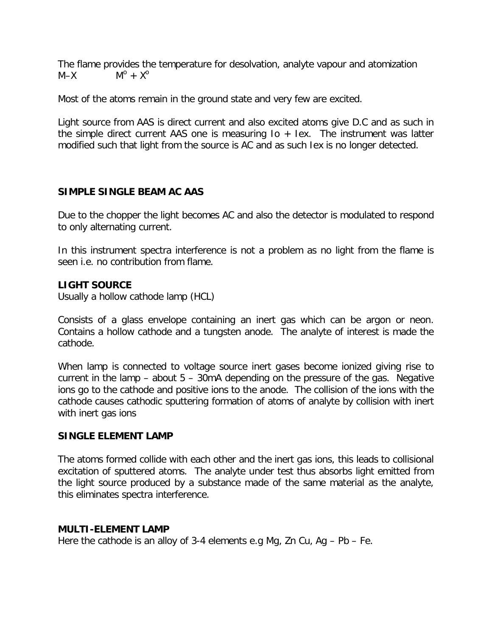The flame provides the temperature for desolvation, analyte vapour and atomization  $M-X$  $M^{\circ}$  +  $X^{\circ}$ 

Most of the atoms remain in the ground state and very few are excited.

Light source from AAS is direct current and also excited atoms give D.C and as such in the simple direct current AAS one is measuring  $I_0 + I_1$ ex. The instrument was latter modified such that light from the source is AC and as such Iex is no longer detected.

# **SIMPLE SINGLE BEAM AC AAS**

Due to the chopper the light becomes AC and also the detector is modulated to respond to only alternating current.

In this instrument spectra interference is not a problem as no light from the flame is seen i.e. no contribution from flame.

# **LIGHT SOURCE**

Usually a hollow cathode lamp (HCL)

Consists of a glass envelope containing an inert gas which can be argon or neon. Contains a hollow cathode and a tungsten anode. The analyte of interest is made the cathode.

When lamp is connected to voltage source inert gases become ionized giving rise to current in the lamp  $-$  about  $5 - 30$ mA depending on the pressure of the gas. Negative ions go to the cathode and positive ions to the anode. The collision of the ions with the cathode causes cathodic sputtering formation of atoms of analyte by collision with inert with inert gas ions

# **SINGLE ELEMENT LAMP**

The atoms formed collide with each other and the inert gas ions, this leads to collisional excitation of sputtered atoms. The analyte under test thus absorbs light emitted from the light source produced by a substance made of the same material as the analyte, this eliminates spectra interference.

# **MULTI-ELEMENT LAMP**

Here the cathode is an alloy of 3-4 elements e.g Mg, Zn Cu, Ag – Pb – Fe.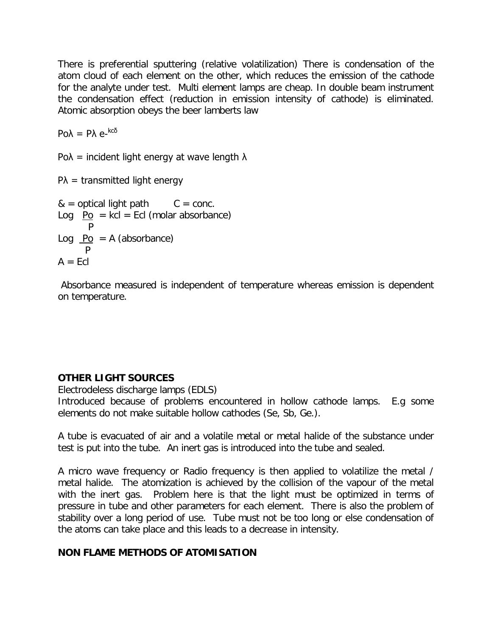There is preferential sputtering (relative volatilization) There is condensation of the atom cloud of each element on the other, which reduces the emission of the cathode for the analyte under test. Multi element lamps are cheap. In double beam instrument the condensation effect (reduction in emission intensity of cathode) is eliminated. Atomic absorption obeys the beer lamberts law

Poλ = Pλ e-<sup>kcδ</sup>

Po $\lambda$  = incident light energy at wave length  $\lambda$ 

 $PA =$  transmitted light energy

 $&=$  optical light path  $C = conc$ . Log  $P_0$  = kcl = Ecl (molar absorbance) P Log  $Po = A$  (absorbance) **P**  $A = EcI$ 

Absorbance measured is independent of temperature whereas emission is dependent on temperature.

# **OTHER LIGHT SOURCES**

Electrodeless discharge lamps (EDLS)

Introduced because of problems encountered in hollow cathode lamps. E.g some elements do not make suitable hollow cathodes (Se, Sb, Ge.).

A tube is evacuated of air and a volatile metal or metal halide of the substance under test is put into the tube. An inert gas is introduced into the tube and sealed.

A micro wave frequency or Radio frequency is then applied to volatilize the metal / metal halide. The atomization is achieved by the collision of the vapour of the metal with the inert gas. Problem here is that the light must be optimized in terms of pressure in tube and other parameters for each element. There is also the problem of stability over a long period of use. Tube must not be too long or else condensation of the atoms can take place and this leads to a decrease in intensity.

# **NON FLAME METHODS OF ATOMISATION**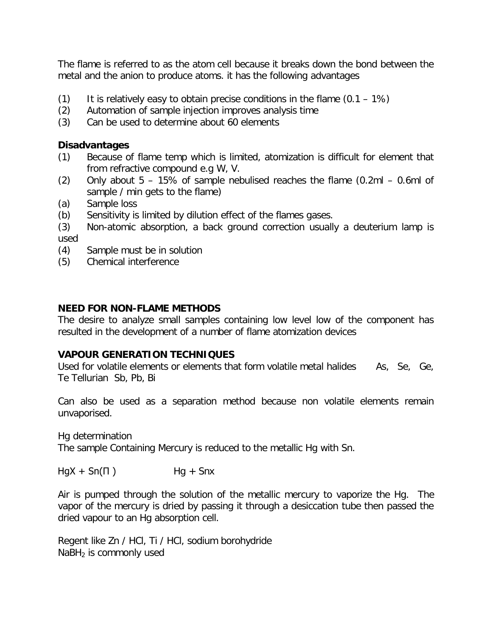The flame is referred to as the atom cell because it breaks down the bond between the metal and the anion to produce atoms. it has the following advantages

- (1) It is relatively easy to obtain precise conditions in the flame  $(0.1 1\%)$
- (2) Automation of sample injection improves analysis time
- (3) Can be used to determine about 60 elements

# **Disadvantages**

- (1) Because of flame temp which is limited, atomization is difficult for element that from refractive compound e.g W, V.
- (2) Only about  $5 15\%$  of sample nebulised reaches the flame (0.2ml  $-$  0.6ml of sample / min gets to the flame)
- (a) Sample loss
- (b) Sensitivity is limited by dilution effect of the flames gases.
- (3) Non-atomic absorption, a back ground correction usually a deuterium lamp is used
- (4) Sample must be in solution
- (5) Chemical interference

# **NEED FOR NON-FLAME METHODS**

The desire to analyze small samples containing low level low of the component has resulted in the development of a number of flame atomization devices

# **VAPOUR GENERATION TECHNIQUES**

Used for volatile elements or elements that form volatile metal halides As, Se, Ge, Te Tellurian Sb, Pb, Bi

Can also be used as a separation method because non volatile elements remain unvaporised.

Hg determination

The sample Containing Mercury is reduced to the metallic Hg with Sn.

 $HgX + Sn(\Pi)$  Hg + Snx

Air is pumped through the solution of the metallic mercury to vaporize the Hg. The vapor of the mercury is dried by passing it through a desiccation tube then passed the dried vapour to an Hg absorption cell.

Regent like Zn / HCl, Ti / HCl, sodium borohydride  $N$ aBH<sub>2</sub> is commonly used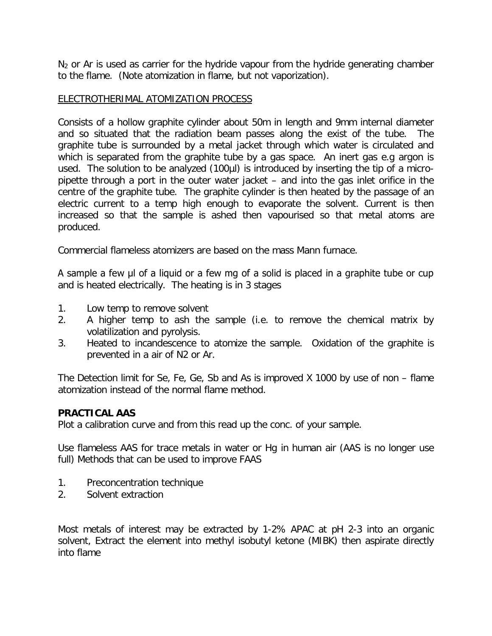$N_2$  or Ar is used as carrier for the hydride vapour from the hydride generating chamber to the flame. (Note atomization in flame, but not vaporization).

### ELECTROTHERIMAL ATOMIZATION PROCESS

Consists of a hollow graphite cylinder about 50m in length and 9mm internal diameter and so situated that the radiation beam passes along the exist of the tube. The graphite tube is surrounded by a metal jacket through which water is circulated and which is separated from the graphite tube by a gas space. An inert gas e.g argon is used. The solution to be analyzed (100µl) is introduced by inserting the tip of a micropipette through a port in the outer water jacket – and into the gas inlet orifice in the centre of the graphite tube. The graphite cylinder is then heated by the passage of an electric current to a temp high enough to evaporate the solvent. Current is then increased so that the sample is ashed then vapourised so that metal atoms are produced.

Commercial flameless atomizers are based on the mass Mann furnace.

A sample a few µl of a liquid or a few mg of a solid is placed in a graphite tube or cup and is heated electrically. The heating is in 3 stages

- 1. Low temp to remove solvent
- 2. A higher temp to ash the sample (i.e. to remove the chemical matrix by volatilization and pyrolysis.
- 3. Heated to incandescence to atomize the sample. Oxidation of the graphite is prevented in a air of N2 or Ar.

The Detection limit for Se, Fe, Ge, Sb and As is improved X 1000 by use of non – flame atomization instead of the normal flame method.

#### **PRACTICAL AAS**

Plot a calibration curve and from this read up the conc. of your sample.

Use flameless AAS for trace metals in water or Hg in human air (AAS is no longer use full) Methods that can be used to improve FAAS

- 1. Preconcentration technique
- 2. Solvent extraction

Most metals of interest may be extracted by 1-2% APAC at pH 2-3 into an organic solvent, Extract the element into methyl isobutyl ketone (MIBK) then aspirate directly into flame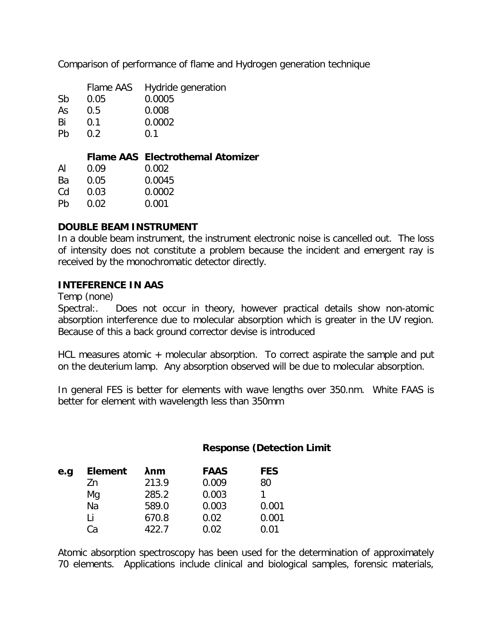Comparison of performance of flame and Hydrogen generation technique

|    |               | Flame AAS Hydride generation |
|----|---------------|------------------------------|
| Sb | 0.05          | 0.0005                       |
| As | 0.5           | 0.008                        |
| Bi | 0.1           | 0.0002                       |
| Pb | $0.2^{\circ}$ | 0.1                          |

# **Flame AAS Electrothemal Atomizer**

| ΑI | 0.09 | 0.002  |
|----|------|--------|
| Bа | 0.05 | 0.0045 |
| Cd | 0.03 | 0.0002 |
| Ph | 0.O2 | 0.001  |

#### **DOUBLE BEAM INSTRUMENT**

In a double beam instrument, the instrument electronic noise is cancelled out. The loss of intensity does not constitute a problem because the incident and emergent ray is received by the monochromatic detector directly.

#### **INTEFERENCE IN AAS**

Temp (none)

Spectral:. Does not occur in theory, however practical details show non-atomic absorption interference due to molecular absorption which is greater in the UV region. Because of this a back ground corrector devise is introduced

HCL measures atomic + molecular absorption. To correct aspirate the sample and put on the deuterium lamp. Any absorption observed will be due to molecular absorption.

In general FES is better for elements with wave lengths over 350.nm. White FAAS is better for element with wavelength less than 350mm

#### **Response (Detection Limit**

| e.g | <b>Element</b> | <b>Anm</b> | <b>FAAS</b> | <b>FES</b> |
|-----|----------------|------------|-------------|------------|
|     | 7n             | 213.9      | 0.009       | 80         |
|     | Mg             | 285.2      | 0.003       |            |
|     | Na             | 589.0      | 0.003       | 0.001      |
|     | Ιi             | 670.8      | 0.02        | 0.001      |
|     | Са             | 422.7      | 0.02        | 0.01       |

Atomic absorption spectroscopy has been used for the determination of approximately 70 elements. Applications include clinical and biological samples, forensic materials,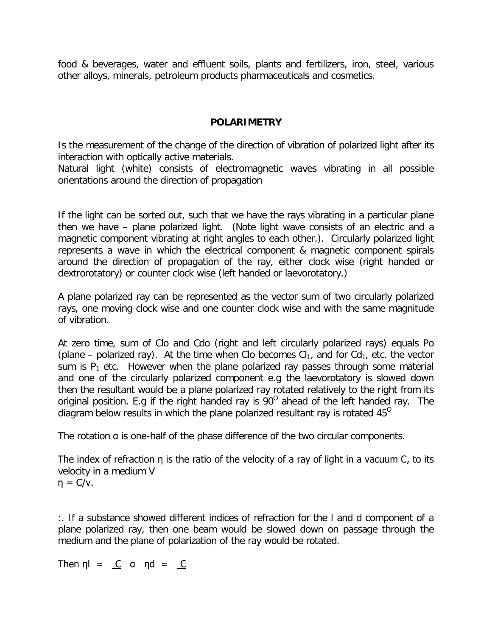food & beverages, water and effluent soils, plants and fertilizers, iron, steel, various other alloys, minerals, petroleum products pharmaceuticals and cosmetics.

### **POLARIMETRY**

Is the measurement of the change of the direction of vibration of polarized light after its interaction with optically active materials.

Natural light (white) consists of electromagnetic waves vibrating in all possible orientations around the direction of propagation

If the light can be sorted out, such that we have the rays vibrating in a particular plane then we have – plane polarized light. (Note light wave consists of an electric and a magnetic component vibrating at right angles to each other.). Circularly polarized light represents a wave in which the electrical component & magnetic component spirals around the direction of propagation of the ray, either clock wise (right handed or dextrorotatory) or counter clock wise (left handed or laevorotatory.)

A plane polarized ray can be represented as the vector sum of two circularly polarized rays, one moving clock wise and one counter clock wise and with the same magnitude of vibration.

At zero time, sum of Clo and Cdo (right and left circularly polarized rays) equals Po (plane – polarized ray). At the time when Clo becomes  $Cl_1$ , and for  $Cd_1$ , etc. the vector sum is  $P_1$  etc. However when the plane polarized ray passes through some material and one of the circularly polarized component e.g the laevorotatory is slowed down then the resultant would be a plane polarized ray rotated relatively to the right from its original position. E.g if the right handed ray is  $90^{\circ}$  ahead of the left handed ray. The diagram below results in which the plane polarized resultant ray is rotated 45<sup>0</sup>

The rotation **a** is one-half of the phase difference of the two circular components.

The index of refraction η is the ratio of the velocity of a ray of light in a vacuum C, to its velocity in a medium V  $\eta = C/v$ .

:. If a substance showed different indices of refraction for the l and d component of a plane polarized ray, then one beam would be slowed down on passage through the medium and the plane of polarization of the ray would be rotated.

Then  $\eta l = C$  a  $\eta d = C$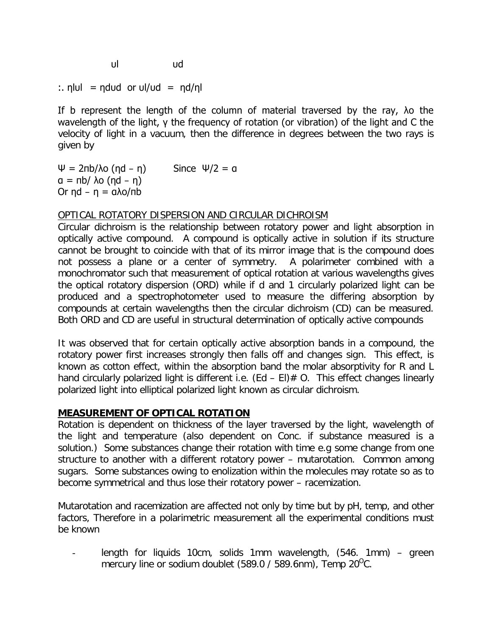υl υd

:. η $|u| = n du d$  or  $u|/ud = n d/n$ 

If b represent the length of the column of material traversed by the ray, λo the wavelength of the light, γ the frequency of rotation (or vibration) of the light and C the velocity of light in a vacuum, then the difference in degrees between the two rays is given by

Ψ = 2πb/λo (ηd – η) Since Ψ/2 = α  $a = \pi b / \lambda o (\eta d - \eta)$ Or ηd – η = αλo/πb

#### OPTICAL ROTATORY DISPERSION AND CIRCULAR DICHROISM

Circular dichroism is the relationship between rotatory power and light absorption in optically active compound. A compound is optically active in solution if its structure cannot be brought to coincide with that of its mirror image that is the compound does not possess a plane or a center of symmetry. A polarimeter combined with a monochromator such that measurement of optical rotation at various wavelengths gives the optical rotatory dispersion (ORD) while if d and 1 circularly polarized light can be produced and a spectrophotometer used to measure the differing absorption by compounds at certain wavelengths then the circular dichroism (CD) can be measured. Both ORD and CD are useful in structural determination of optically active compounds

It was observed that for certain optically active absorption bands in a compound, the rotatory power first increases strongly then falls off and changes sign. This effect, is known as cotton effect, within the absorption band the molar absorptivity for R and L hand circularly polarized light is different i.e. (Ed – EI)  $#$  O. This effect changes linearly polarized light into elliptical polarized light known as circular dichroism.

# **MEASUREMENT OF OPTICAL ROTATION**

Rotation is dependent on thickness of the layer traversed by the light, wavelength of the light and temperature (also dependent on Conc. if substance measured is a solution.) Some substances change their rotation with time e.g some change from one structure to another with a different rotatory power – mutarotation. Common among sugars. Some substances owing to enolization within the molecules may rotate so as to become symmetrical and thus lose their rotatory power – racemization.

Mutarotation and racemization are affected not only by time but by pH, temp, and other factors, Therefore in a polarimetric measurement all the experimental conditions must be known

length for liquids 10cm, solids 1mm wavelength, (546. 1mm) – green mercury line or sodium doublet (589.0 / 589.6nm), Temp 20<sup>0</sup>C.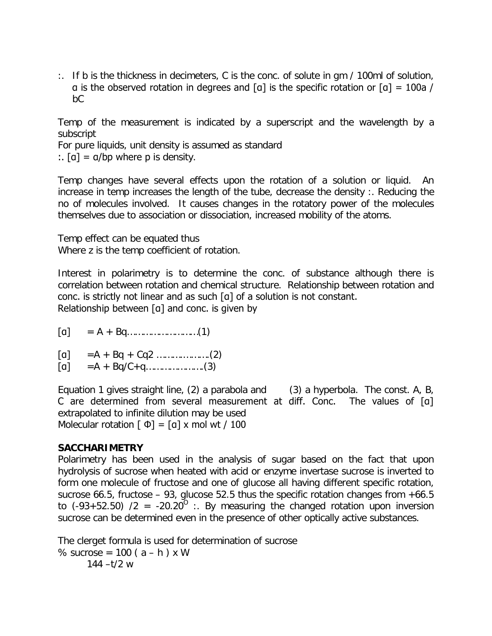:. If b is the thickness in decimeters, C is the conc. of solute in gm / 100ml of solution, α is the observed rotation in degrees and [α] is the specific rotation or  $[a] = 100a /$ bC

Temp of the measurement is indicated by a superscript and the wavelength by a subscript

For pure liquids, unit density is assumed as standard

:.  $[a] = a/bp$  where p is density.

Temp changes have several effects upon the rotation of a solution or liquid. An increase in temp increases the length of the tube, decrease the density :. Reducing the no of molecules involved. It causes changes in the rotatory power of the molecules themselves due to association or dissociation, increased mobility of the atoms.

Temp effect can be equated thus Where z is the temp coefficient of rotation.

Interest in polarimetry is to determine the conc. of substance although there is correlation between rotation and chemical structure. Relationship between rotation and conc. is strictly not linear and as such [α] of a solution is not constant. Relationship between [α] and conc. is given by

- [α] = A + Bq………………………(1)
- [α] =A + Bq + Cq2 ……….……….(2)
- $[a]$  = A + Bq/C + q………………...(3)

Equation 1 gives straight line, (2) a parabola and (3) a hyperbola. The const. A, B, C are determined from several measurement at diff. Conc. The values of [α] extrapolated to infinite dilution may be used Molecular rotation  $\lceil \Phi \rceil = \lceil a \rceil \times \text{mol wt} / 100$ 

#### **SACCHARIMETRY**

Polarimetry has been used in the analysis of sugar based on the fact that upon hydrolysis of sucrose when heated with acid or enzyme invertase sucrose is inverted to form one molecule of fructose and one of glucose all having different specific rotation, sucrose 66.5, fructose – 93, glucose 52.5 thus the specific rotation changes from  $+66.5$ to (-93+52.50) /2 = -20.20<sup>0</sup> :. By measuring the changed rotation upon inversion sucrose can be determined even in the presence of other optically active substances.

The clerget formula is used for determination of sucrose % sucrose =  $100 (a - h) x W$  $144 - t/2$  w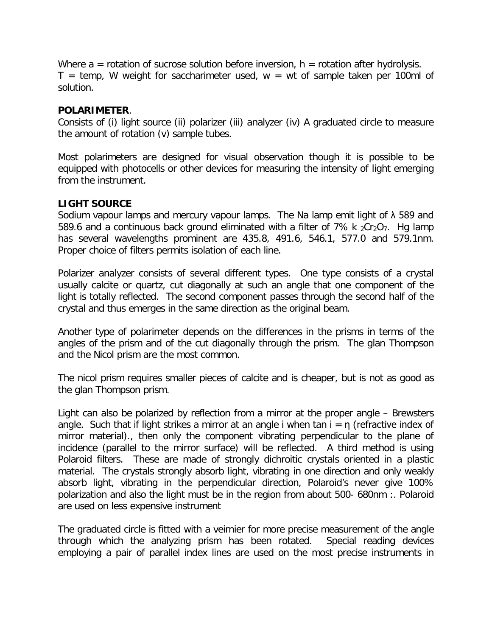Where  $a =$  rotation of sucrose solution before inversion,  $h =$  rotation after hydrolysis.  $T = temp$ , W weight for saccharimeter used,  $w = wt$  of sample taken per 100ml of solution.

#### **POLARIMETER**.

Consists of (i) light source (ii) polarizer (iii) analyzer (iv) A graduated circle to measure the amount of rotation (v) sample tubes.

Most polarimeters are designed for visual observation though it is possible to be equipped with photocells or other devices for measuring the intensity of light emerging from the instrument.

# **LIGHT SOURCE**

Sodium vapour lamps and mercury vapour lamps. The Na lamp emit light of  $\lambda$  589 and 589.6 and a continuous back ground eliminated with a filter of 7% k  $_2$ Cr<sub>2</sub>O<sub>7</sub>. Hg lamp has several wavelengths prominent are 435.8, 491.6, 546.1, 577.0 and 579.1nm. Proper choice of filters permits isolation of each line.

Polarizer analyzer consists of several different types. One type consists of a crystal usually calcite or quartz, cut diagonally at such an angle that one component of the light is totally reflected. The second component passes through the second half of the crystal and thus emerges in the same direction as the original beam.

Another type of polarimeter depends on the differences in the prisms in terms of the angles of the prism and of the cut diagonally through the prism. The glan Thompson and the Nicol prism are the most common.

The nicol prism requires smaller pieces of calcite and is cheaper, but is not as good as the glan Thompson prism.

Light can also be polarized by reflection from a mirror at the proper angle – Brewsters angle. Such that if light strikes a mirror at an angle i when tan  $i = \eta$  (refractive index of mirror material)., then only the component vibrating perpendicular to the plane of incidence (parallel to the mirror surface) will be reflected. A third method is using Polaroid filters. These are made of strongly dichroitic crystals oriented in a plastic material. The crystals strongly absorb light, vibrating in one direction and only weakly absorb light, vibrating in the perpendicular direction, Polaroid's never give 100% polarization and also the light must be in the region from about 500- 680nm :. Polaroid are used on less expensive instrument

The graduated circle is fitted with a veirnier for more precise measurement of the angle through which the analyzing prism has been rotated. Special reading devices employing a pair of parallel index lines are used on the most precise instruments in